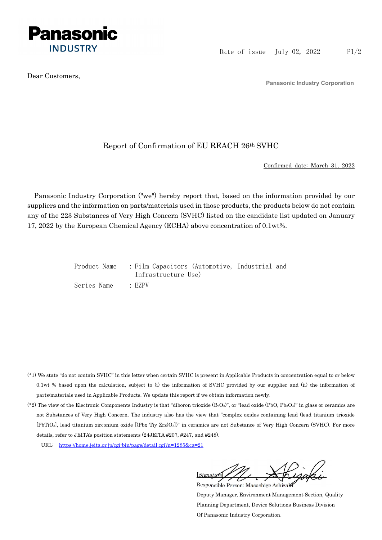

Dear Customers,

Panasonic Industry Corporation

## Report of Confirmation of EU REACH 26th SVHC

Confirmed date: March 31, 2022

Panasonic Industry Corporation ("we") hereby report that, based on the information provided by our suppliers and the information on parts/materials used in those products, the products below do not contain any of the 223 Substances of Very High Concern (SVHC) listed on the candidate list updated on January 17, 2022 by the European Chemical Agency (ECHA) above concentration of 0.1wt%.

|             | Product Name : Film Capacitors (Automotive, Industrial and |  |
|-------------|------------------------------------------------------------|--|
|             | Infrastructure Use)                                        |  |
| Series Name | · EZPV                                                     |  |

- (\*1) We state "do not contain SVHC" in this letter when certain SVHC is present in Applicable Products in concentration equal to or below 0.1wt % based upon the calculation, subject to (i) the information of SVHC provided by our supplier and (ii) the information of parts/materials used in Applicable Products. We update this report if we obtain information newly.
- (\*2) The view of the Electronic Components Industry is that "diboron trioxide  $(B_2O_3)$ ", or "lead oxide (PbO, Pb<sub>3</sub>O<sub>4</sub>)" in glass or ceramics are not Substances of Very High Concern. The industry also has the view that "complex oxides containing lead (lead titanium trioxide [PbTiO3], lead titanium zirconium oxide [(Pbx Tiy Zrz)O3])" in ceramics are not Substance of Very High Concern (SVHC). For more details, refer to JEITA's position statements (24JEITA #207, #247, and #248).
	- URL: https://home.jeita.or.jp/cgi-bin/page/detail.cgi?n=1285&ca=21

[Signature] Responsible Person: Masashige Ashizaki

Deputy Manager, Environment Management Section, Quality Planning Department, Device Solutions Business Division Of Panasonic Industry Corporation.